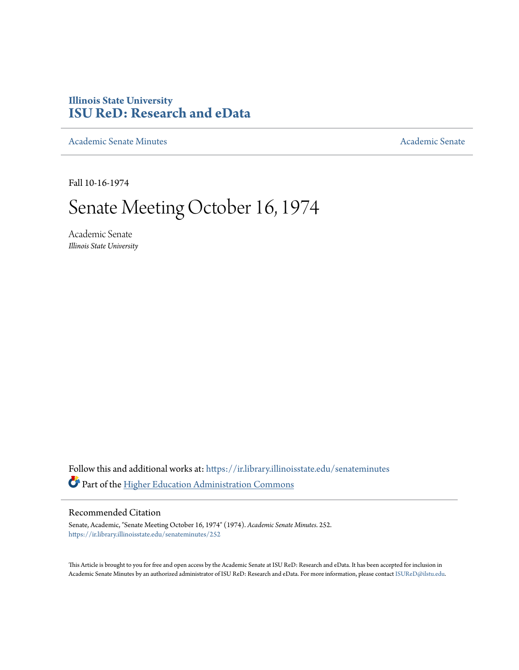## **Illinois State University [ISU ReD: Research and eData](https://ir.library.illinoisstate.edu?utm_source=ir.library.illinoisstate.edu%2Fsenateminutes%2F252&utm_medium=PDF&utm_campaign=PDFCoverPages)**

[Academic Senate Minutes](https://ir.library.illinoisstate.edu/senateminutes?utm_source=ir.library.illinoisstate.edu%2Fsenateminutes%2F252&utm_medium=PDF&utm_campaign=PDFCoverPages) [Academic Senate](https://ir.library.illinoisstate.edu/senate?utm_source=ir.library.illinoisstate.edu%2Fsenateminutes%2F252&utm_medium=PDF&utm_campaign=PDFCoverPages) Academic Senate

Fall 10-16-1974

## Senate Meeting October 16, 1974

Academic Senate *Illinois State University*

Follow this and additional works at: [https://ir.library.illinoisstate.edu/senateminutes](https://ir.library.illinoisstate.edu/senateminutes?utm_source=ir.library.illinoisstate.edu%2Fsenateminutes%2F252&utm_medium=PDF&utm_campaign=PDFCoverPages) Part of the [Higher Education Administration Commons](http://network.bepress.com/hgg/discipline/791?utm_source=ir.library.illinoisstate.edu%2Fsenateminutes%2F252&utm_medium=PDF&utm_campaign=PDFCoverPages)

## Recommended Citation

Senate, Academic, "Senate Meeting October 16, 1974" (1974). *Academic Senate Minutes*. 252. [https://ir.library.illinoisstate.edu/senateminutes/252](https://ir.library.illinoisstate.edu/senateminutes/252?utm_source=ir.library.illinoisstate.edu%2Fsenateminutes%2F252&utm_medium=PDF&utm_campaign=PDFCoverPages)

This Article is brought to you for free and open access by the Academic Senate at ISU ReD: Research and eData. It has been accepted for inclusion in Academic Senate Minutes by an authorized administrator of ISU ReD: Research and eData. For more information, please contact [ISUReD@ilstu.edu.](mailto:ISUReD@ilstu.edu)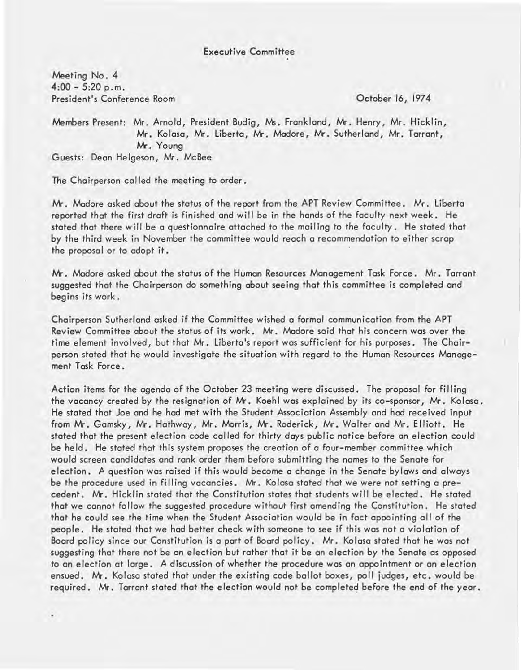Meeting No. 4  $4:00 - 5:20$  p.m. President's Conference Room

October 16, 1974

Members Present: Mr. Arnold, President Budig, Ms. Frankland, Mr. Henry, Mr. Hicklin, Mr. Kolasa, Mr. Liberta, Mr. Madore, Mr. Sutherland, Mr. Tarrant, M-. Young Guests: Dean Helgeson, Mr. McBee

The Chairperson called the meeting to order.

Mr. Madore asked about the status of the report from the APT Review Committee. Mr. Liberta reported that the first draft is finished and will be in the hands of the faculty next week. He stated that there will be a questionnaire attached to the mailing to the faculty. He stated that by the third week in November the committee would reach a recommendation to either scrap the proposal or to adopt it. .

Mr. Madore asked about the status of the Human Resources Management Task Force. Mr. Tarrant suggested that the Chairperson do something about seeing that this committee is completed and begins its work.

Chairperson Sutherland asked if the Committee wished a formal communication from the APT Review Committee about the status of its work. Mr. Madore said that his concern was over the time element involved, but that Mr. Liberta's report was sufficient for his purposes. The Chairperson stated that he would investigate the situation with regard to the Human Resources Management Task Force.

Action items for the agenda of the October 23 meeting were discussed. The proposal for filling the vacancy created by the resignation of Mr. Koehl was explained by its co-sponsor, Mr. Kolasa. He stated that Joe and he hod met with the Student Association Assembly and had received input from Mr. Gamsky, Mr. Hathway, Mr. Morris, Mr. Roderick, Mr. Walter and Mr. Elliott. He stated that the present election code called for thirty days public notice before an election could be held. He stated that this system proposes the creation of a four-member committee which wauld screen candidates and rank order them before submitting the names to the Senate for election. A question was raised if this would become a change in the Senate bylaws and always be the procedure used in filling vacancies. Mr. Kolasa stated that we were not setting a precedent. Mr. Hicklin stated that the Constitution states that students will be elected. He stated that we cannot follow the suggested procedure without first amending the Constitution. He stated that he could see the time when the Student Association would be in fact appointing all of the people. He stated that we had better check with someone to see if this was not a violation of Board policy since our Constitution is a part of Board policy. Mr. Kolasa stated that he was not suggesting that there not be an election but rather that it be an election by the Senate as opposed to an election at large. A discussion of whether the procedure was an appointment or an election ensued. Mr. Kolasa stated that under the existing code ballot boxes, poll judges, etc. would be required. Mr. Tarrant stated that the election would not be completed before the end of the year.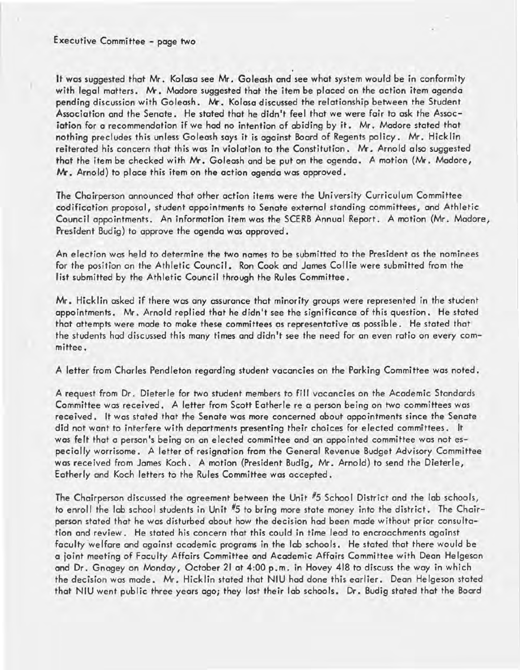It was suggested that Mr. Kolasa see Mr. Goleash and see what system would be in conformity with legal matters. Mr. Madore suggested that the item be placed on the action item agenda pending discussion with Goleash. Mr. Kolasa discussed the relationship between the Student Association and the Senate. He stated that he didn't feel that we were fair to ask the Association for a recommendation if we had no intention of abiding by it. Mr. Madore stated that nothing precludes this unless Goleash says it is against Board of Regents policy. Mr. Hicklin reiterated his concern that this was in violation to the Constitution. Mr. Arnold also suggested that the item be checked with Mr. Goleash and be put on the agenda. A motion (Mr. Madore, Mr. Arnold) to place this item on the action agenda was approved.

The Chairperson announced that other action items were the University Curriculum Committee . codification proposal, student appointments to Senate external standing committees, and Athletic Council appointments. An information item was the SCERB Annual Report. A motion (Mr. Madore, President Budig) to approve the agenda was approved.

An election was held to determine the two names to be submitted to the President as the nominees for the position on the Athletic Council. Ron Cook and James Collie were submitted from the list submitted by the Athletic Council through the Rules Committee.

Mr. Hicklin asked if there was any assurance that minority groups were represented in the student appointments. Mr. Arnold replied that he didn't see the significance of this question. He stated that attempts were made to make these committees as representative as possible. He stated that the students had discussed this many times and didn't see the need for an even ratio on every committee.

A letter from Charles Pendleton regarding student vacancies on the Parking Committee was noted.

A request from Dr. Dieterle for two student members to fill vacancies on the Academic Standards Committee was received. A letter from Scott Eatherle re a person being on two committees was received. It was stated that the Senate was more concerned about appointments since the Senate did not want to interfere with departments presenting their choices for elected committees. It was felt that a person's being on an elected committee and an appointed committee was not especially worrisome. A letter of resignation from the General Revenue Budget Advisory Committee was received from James Koch. A motion (President Budig, Mr. Arnold) to send the Dieterle, Eatherly and Koch letters to the Rules Committee was accepted.

The Chairperson discussed the agreement between the Unit #5 School District and the lab schools, to enroll the lab school students in Unit #5 to bring more state money into the district. The Chairperson stated that he was disturbed about how the decision had been made without prior consultation and review. He stated his concern that this could in time lead to encroachments against faculty welfare and against academic programs in the lab schools. He stated that there would be a joint meeting of Faculty Affairs Committee and Academic Affairs Committee with Dean Helgeson and Dr. Gnagey on Monday, October 21 at 4:00 p.m. in Hovey 418 to discuss the way in which the decision was made. Mr. Hicklin stated that NIU had done this earlier. Dean Helgeson stated that NIU went public three years ago; they lost their lab schools. Dr. Budig stated that the Board